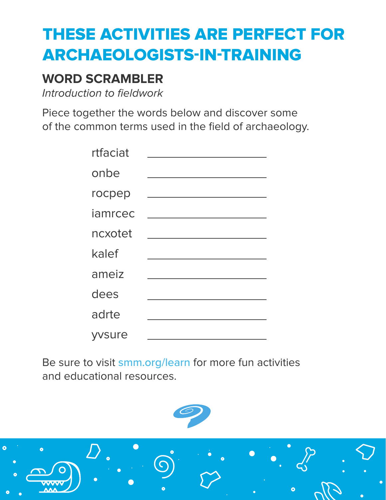# **THESE ACTIVITIES ARE PERFECT FOR ARCHAEOLOGISTS-IN-TRAINING**

### **WORD SCRAMBLER**

Introduction to fieldwork

Piece together the words below and discover some of the common terms used in the field of archaeology.

| rtfaciat |                                                                                                                                                                              |
|----------|------------------------------------------------------------------------------------------------------------------------------------------------------------------------------|
| onbe     |                                                                                                                                                                              |
| rocpep   | $\mathcal{L}^{\mathcal{L}}(\mathcal{L}^{\mathcal{L}})$ and $\mathcal{L}^{\mathcal{L}}(\mathcal{L}^{\mathcal{L}})$ and $\mathcal{L}^{\mathcal{L}}(\mathcal{L}^{\mathcal{L}})$ |
| iamrcec  |                                                                                                                                                                              |
| ncxotet  |                                                                                                                                                                              |
| kalef    |                                                                                                                                                                              |
| ameiz    |                                                                                                                                                                              |
| dees     |                                                                                                                                                                              |
| adrte    |                                                                                                                                                                              |
| yvsure   |                                                                                                                                                                              |

Be sure to visit smm.org/learn for more fun activities and educational resources.

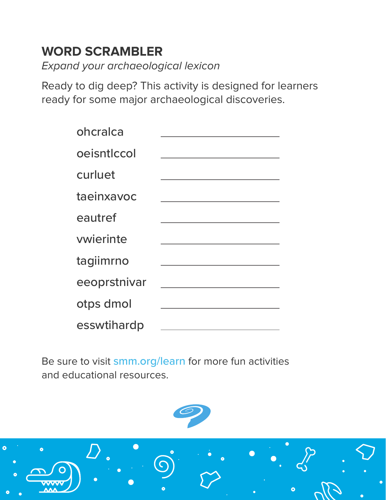## **WORD SCRAMBLER**

Expand your archaeological lexicon

Ready to dig deep? This activity is designed for learners ready for some major archaeological discoveries.

| ohcralca     |  |
|--------------|--|
| oeisntlccol  |  |
| curluet      |  |
| taeinxavoc   |  |
| eautref      |  |
| vwierinte    |  |
| tagiimrno    |  |
| eeoprstnivar |  |
| otps dmol    |  |
| esswtihardp  |  |

Be sure to visit smm.org/learn for more fun activities and educational resources.

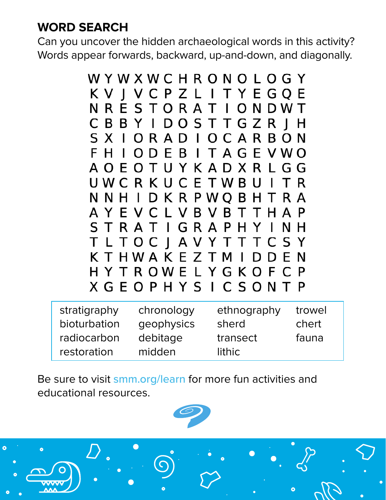### **WORD SEARCH**

 $\overline{c}$ 

Can you uncover the hidden archaeological words in this activity? Words appear forwards, backward, up-and-down, and diagonally.



| stratigraphy | chronology | ethnography | trowel |
|--------------|------------|-------------|--------|
| bioturbation | geophysics | sherd       | chert  |
| radiocarbon  | debitage   | transect    | fauna  |
| restoration  | midden     | lithic      |        |

Be sure to visit smm.org/learn for more fun activities and educational resources.